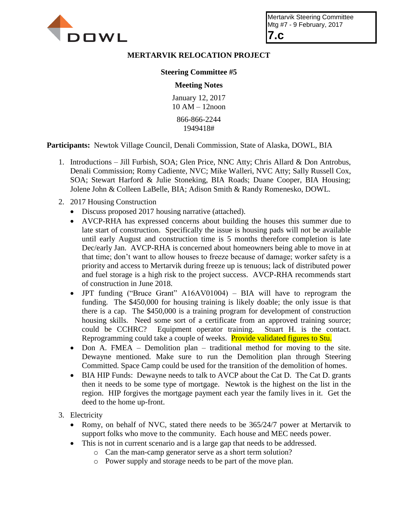

## **MERTARVIK RELOCATION PROJECT**

## **Steering Committee #5**

## **Meeting Notes**

January 12, 2017 10 AM – 12noon

866-866-2244 1949418#

**Participants:** Newtok Village Council, Denali Commission, State of Alaska, DOWL, BIA

- 1. Introductions Jill Furbish, SOA; Glen Price, NNC Atty; Chris Allard & Don Antrobus, Denali Commission; Romy Cadiente, NVC; Mike Walleri, NVC Atty; Sally Russell Cox, SOA; Stewart Harford & Julie Stoneking, BIA Roads; Duane Cooper, BIA Housing; Jolene John & Colleen LaBelle, BIA; Adison Smith & Randy Romenesko, DOWL.
- 2. 2017 Housing Construction
	- Discuss proposed 2017 housing narrative (attached).
	- AVCP-RHA has expressed concerns about building the houses this summer due to late start of construction. Specifically the issue is housing pads will not be available until early August and construction time is 5 months therefore completion is late Dec/early Jan. AVCP-RHA is concerned about homeowners being able to move in at that time; don't want to allow houses to freeze because of damage; worker safety is a priority and access to Mertarvik during freeze up is tenuous; lack of distributed power and fuel storage is a high risk to the project success. AVCP-RHA recommends start of construction in June 2018.
	- JPT funding ("Bruce Grant" A16AV01004) BIA will have to reprogram the funding. The \$450,000 for housing training is likely doable; the only issue is that there is a cap. The \$450,000 is a training program for development of construction housing skills. Need some sort of a certificate from an approved training source; could be CCHRC? Equipment operator training. Stuart H. is the contact. Reprogramming could take a couple of weeks. Provide validated figures to Stu.
	- Don A. FMEA Demolition plan traditional method for moving to the site. Dewayne mentioned. Make sure to run the Demolition plan through Steering Committed. Space Camp could be used for the transition of the demolition of homes.
	- BIA HIP Funds: Dewayne needs to talk to AVCP about the Cat D. The Cat D. grants then it needs to be some type of mortgage. Newtok is the highest on the list in the region. HIP forgives the mortgage payment each year the family lives in it. Get the deed to the home up-front.
- 3. Electricity
	- Romy, on behalf of NVC, stated there needs to be 365/24/7 power at Mertarvik to support folks who move to the community. Each house and MEC needs power.
	- This is not in current scenario and is a large gap that needs to be addressed.
		- o Can the man-camp generator serve as a short term solution?
		- o Power supply and storage needs to be part of the move plan.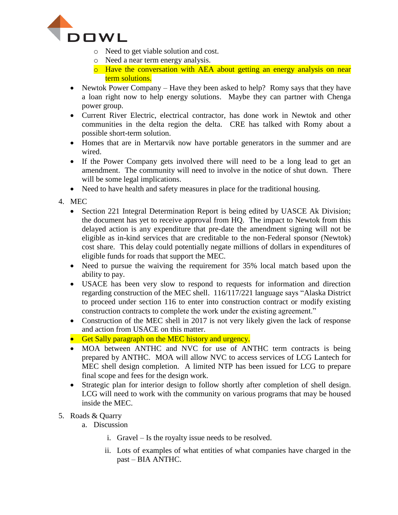

- o Need to get viable solution and cost.
- o Need a near term energy analysis.
- o Have the conversation with AEA about getting an energy analysis on near term solutions.
- Newtok Power Company Have they been asked to help? Romy says that they have a loan right now to help energy solutions. Maybe they can partner with Chenga power group.
- Current River Electric, electrical contractor, has done work in Newtok and other communities in the delta region the delta. CRE has talked with Romy about a possible short-term solution.
- Homes that are in Mertarvik now have portable generators in the summer and are wired.
- If the Power Company gets involved there will need to be a long lead to get an amendment. The community will need to involve in the notice of shut down. There will be some legal implications.
- Need to have health and safety measures in place for the traditional housing.

4. MEC

- Section 221 Integral Determination Report is being edited by UASCE Ak Division; the document has yet to receive approval from HQ. The impact to Newtok from this delayed action is any expenditure that pre-date the amendment signing will not be eligible as in-kind services that are creditable to the non-Federal sponsor (Newtok) cost share. This delay could potentially negate millions of dollars in expenditures of eligible funds for roads that support the MEC.
- Need to pursue the waiving the requirement for 35% local match based upon the ability to pay.
- USACE has been very slow to respond to requests for information and direction regarding construction of the MEC shell. 116/117/221 language says "Alaska District to proceed under section 116 to enter into construction contract or modify existing construction contracts to complete the work under the existing agreement."
- Construction of the MEC shell in 2017 is not very likely given the lack of response and action from USACE on this matter.
- Get Sally paragraph on the MEC history and urgency.
- MOA between ANTHC and NVC for use of ANTHC term contracts is being prepared by ANTHC. MOA will allow NVC to access services of LCG Lantech for MEC shell design completion. A limited NTP has been issued for LCG to prepare final scope and fees for the design work.
- Strategic plan for interior design to follow shortly after completion of shell design. LCG will need to work with the community on various programs that may be housed inside the MEC.
- 5. Roads & Quarry
	- a. Discussion
		- i. Gravel Is the royalty issue needs to be resolved.
		- ii. Lots of examples of what entities of what companies have charged in the past – BIA ANTHC.